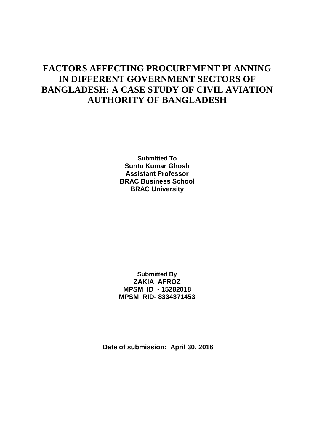# **FACTORS AFFECTING PROCUREMENT PLANNING IN DIFFERENT GOVERNMENT SECTORS OF BANGLADESH: A CASE STUDY OF CIVIL AVIATION AUTHORITY OF BANGLADESH**

**Submitted To Suntu Kumar Ghosh Assistant Professor BRAC Business School BRAC University**

**Submitted By ZAKIA AFROZ MPSM ID - 15282018 MPSM RID- 8334371453** 

 **Date of submission: April 30, 2016**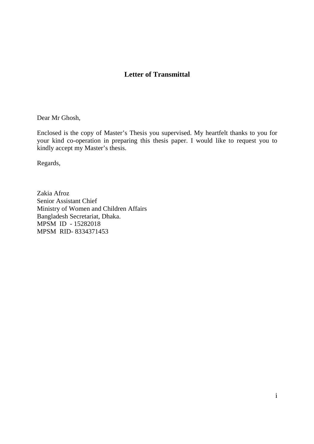## **Letter of Transmittal**

Dear Mr Ghosh,

Enclosed is the copy of Master's Thesis you supervised. My heartfelt thanks to you for your kind co-operation in preparing this thesis paper. I would like to request you to kindly accept my Master's thesis.

Regards,

Zakia Afroz Senior Assistant Chief Ministry of Women and Children Affairs Bangladesh Secretariat, Dhaka. MPSM ID - 15282018 MPSM RID- 8334371453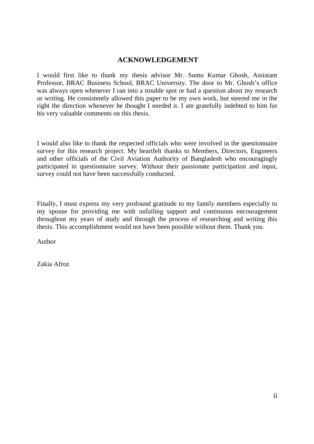#### **ACKNOWLEDGEMENT**

I would first like to thank my thesis advisor Mr. Suntu Kumar Ghosh, Assistant Professor, BRAC Business School, BRAC University. The door to Mr. Ghosh's office was always open whenever I ran into a trouble spot or had a question about my research or writing. He consistently allowed this paper to be my own work, but steered me in the right the direction whenever he thought I needed it. I am gratefully indebted to him for his very valuable comments on this thesis.

I would also like to thank the respected officials who were involved in the questionnaire survey for this research project. My heartfelt thanks to Members, Directors, Engineers and other officials of the Civil Aviation Authority of Bangladesh who encouragingly participated in questionnaire survey. Without their passionate participation and input, survey could not have been successfully conducted.

Finally, I must express my very profound gratitude to my family members especially to my spouse for providing me with unfailing support and continuous encouragement throughout my years of study and through the process of researching and writing this thesis. This accomplishment would not have been possible without them. Thank you.

Author

Zakia Afroz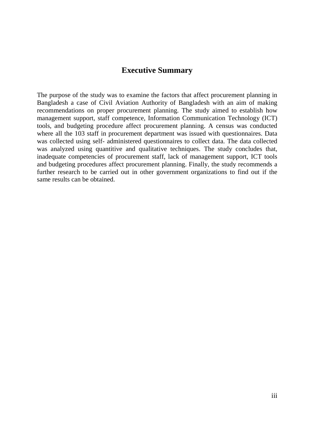## **Executive Summary**

The purpose of the study was to examine the factors that affect procurement planning in Bangladesh a case of Civil Aviation Authority of Bangladesh with an aim of making recommendations on proper procurement planning. The study aimed to establish how management support, staff competence, Information Communication Technology (ICT) tools, and budgeting procedure affect procurement planning. A census was conducted where all the 103 staff in procurement department was issued with questionnaires. Data was collected using self- administered questionnaires to collect data. The data collected was analyzed using quantitive and qualitative techniques. The study concludes that, inadequate competencies of procurement staff, lack of management support, ICT tools and budgeting procedures affect procurement planning. Finally, the study recommends a further research to be carried out in other government organizations to find out if the same results can be obtained.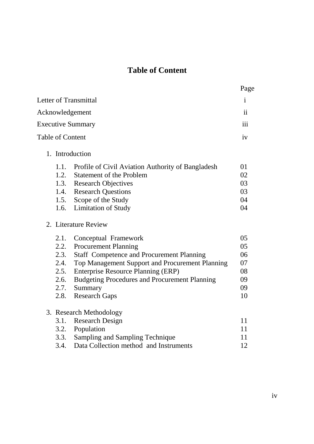# **Table of Content**

|                          |                                                      | Page          |
|--------------------------|------------------------------------------------------|---------------|
| Letter of Transmittal    |                                                      | $\mathbf{i}$  |
| Acknowledgement          |                                                      | $\mathbf{ii}$ |
| <b>Executive Summary</b> |                                                      | iii           |
| <b>Table of Content</b>  |                                                      | iv            |
| 1. Introduction          |                                                      |               |
| 1.1.                     | Profile of Civil Aviation Authority of Bangladesh    | 01            |
| 1.2.                     | <b>Statement of the Problem</b>                      | 02            |
|                          | 1.3. Research Objectives                             | 03            |
|                          | 1.4. Research Questions                              | 03            |
| 1.5.                     | Scope of the Study                                   | 04            |
|                          | 1.6. Limitation of Study                             | 04            |
|                          | 2. Literature Review                                 |               |
| 2.1.                     | Conceptual Framework                                 | 05            |
| 2.2.                     | <b>Procurement Planning</b>                          | 05            |
| 2.3.                     | <b>Staff Competence and Procurement Planning</b>     | 06            |
| 2.4.                     | Top Management Support and Procurement Planning      | 07            |
| 2.5.                     | <b>Enterprise Resource Planning (ERP)</b>            | 08            |
| 2.6.                     | <b>Budgeting Procedures and Procurement Planning</b> | 09            |
| 2.7.                     | Summary                                              | 09            |
| 2.8.                     | <b>Research Gaps</b>                                 | 10            |
|                          | 3. Research Methodology                              |               |
| 3.1.                     | <b>Research Design</b>                               | 11            |
|                          | 3.2. Population                                      | 11            |
| 3.3.                     | Sampling and Sampling Technique                      | 11            |
| 3.4.                     | Data Collection method and Instruments               | 12            |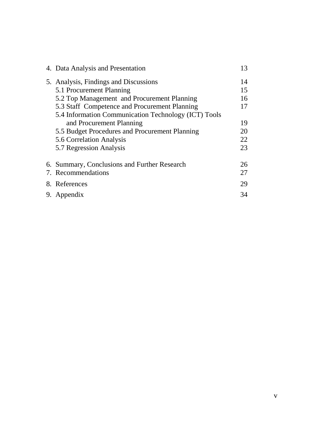| 4. Data Analysis and Presentation                    | 13 |
|------------------------------------------------------|----|
| 5. Analysis, Findings and Discussions                | 14 |
| 5.1 Procurement Planning                             | 15 |
| 5.2 Top Management and Procurement Planning          | 16 |
| 5.3 Staff Competence and Procurement Planning        | 17 |
| 5.4 Information Communication Technology (ICT) Tools |    |
| and Procurement Planning                             | 19 |
| 5.5 Budget Procedures and Procurement Planning       | 20 |
| 5.6 Correlation Analysis                             | 22 |
| 5.7 Regression Analysis                              | 23 |
| 6. Summary, Conclusions and Further Research         | 26 |
| 7. Recommendations                                   | 27 |
| 8. References                                        | 29 |
| 9. Appendix                                          | 34 |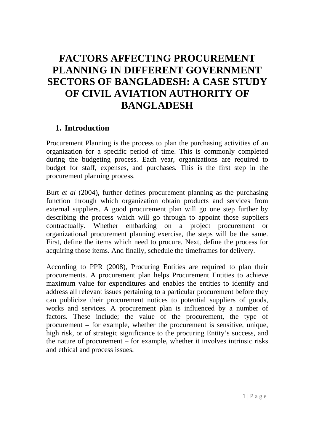# **FACTORS AFFECTING PROCUREMENT PLANNING IN DIFFERENT GOVERNMENT SECTORS OF BANGLADESH: A CASE STUDY OF CIVIL AVIATION AUTHORITY OF BANGLADESH**

## **1. Introduction**

Procurement Planning is the process to plan the purchasing activities of an organization for a specific period of time. This is commonly completed during the budgeting process. Each year, organizations are required to budget for staff, expenses, and purchases. This is the first step in the procurement planning process.

Burt *et al* (2004), further defines procurement planning as the purchasing function through which organization obtain products and services from external suppliers. A good procurement plan will go one step further by describing the process which will go through to appoint those suppliers contractually. Whether embarking on a project procurement or organizational procurement planning exercise, the steps will be the same. First, define the items which need to procure. Next, define the process for acquiring those items. And finally, schedule the timeframes for delivery.

According to PPR (2008), Procuring Entities are required to plan their procurements. A procurement plan helps Procurement Entities to achieve maximum value for expenditures and enables the entities to identify and address all relevant issues pertaining to a particular procurement before they can publicize their procurement notices to potential suppliers of goods, works and services. A procurement plan is influenced by a number of factors. These include; the value of the procurement, the type of procurement – for example, whether the procurement is sensitive, unique, high risk, or of strategic significance to the procuring Entity's success, and the nature of procurement – for example, whether it involves intrinsic risks and ethical and process issues.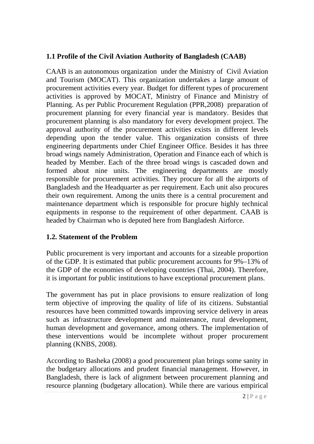## **1.1 Profile of the Civil Aviation Authority of Bangladesh (CAAB)**

CAAB is an autonomous organization under the Ministry of Civil Aviation and Tourism (MOCAT). This organization undertakes a large amount of procurement activities every year. Budget for different types of procurement activities is approved by MOCAT, Ministry of Finance and Ministry of Planning. As per Public Procurement Regulation (PPR,2008) preparation of procurement planning for every financial year is mandatory. Besides that procurement planning is also mandatory for every development project. The approval authority of the procurement activities exists in different levels depending upon the tender value. This organization consists of three engineering departments under Chief Engineer Office. Besides it has three broad wings namely Administration, Operation and Finance each of which is headed by Member. Each of the three broad wings is cascaded down and formed about nine units. The engineering departments are mostly responsible for procurement activities. They procure for all the airports of Bangladesh and the Headquarter as per requirement. Each unit also procures their own requirement. Among the units there is a central procurement and maintenance department which is responsible for procure highly technical equipments in response to the requirement of other department. CAAB is headed by Chairman who is deputed here from Bangladesh Airforce.

## **1.2. Statement of the Problem**

Public procurement is very important and accounts for a sizeable proportion of the GDP. It is estimated that public procurement accounts for 9%–13% of the GDP of the economies of developing countries (Thai, 2004). Therefore, it is important for public institutions to have exceptional procurement plans.

The government has put in place provisions to ensure realization of long term objective of improving the quality of life of its citizens. Substantial resources have been committed towards improving service delivery in areas such as infrastructure development and maintenance, rural development, human development and governance, among others. The implementation of these interventions would be incomplete without proper procurement planning (KNBS, 2008).

According to Basheka (2008) a good procurement plan brings some sanity in the budgetary allocations and prudent financial management. However, in Bangladesh, there is lack of alignment between procurement planning and resource planning (budgetary allocation). While there are various empirical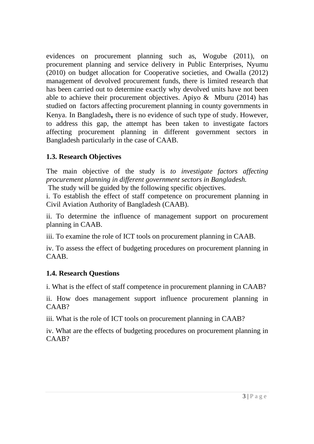evidences on procurement planning such as, Wogube (2011), on procurement planning and service delivery in Public Enterprises, Nyumu (2010) on budget allocation for Cooperative societies, and Owalla (2012) management of devolved procurement funds, there is limited research that has been carried out to determine exactly why devolved units have not been able to achieve their procurement objectives. Apiyo & Mburu (2014) has studied on factors affecting procurement planning in county governments in Kenya. In Bangladesh**,** there is no evidence of such type of study. However, to address this gap, the attempt has been taken to investigate factors affecting procurement planning in different government sectors in Bangladesh particularly in the case of CAAB.

## **1.3. Research Objectives**

The main objective of the study is *to investigate factors affecting procurement planning in different government sectors in Bangladesh.*

The study will be guided by the following specific objectives.

i. To establish the effect of staff competence on procurement planning in Civil Aviation Authority of Bangladesh (CAAB).

ii. To determine the influence of management support on procurement planning in CAAB.

iii. To examine the role of ICT tools on procurement planning in CAAB.

iv. To assess the effect of budgeting procedures on procurement planning in CAAB.

## **1.4. Research Questions**

i. What is the effect of staff competence in procurement planning in CAAB?

ii. How does management support influence procurement planning in CAAB?

iii. What is the role of ICT tools on procurement planning in CAAB?

iv. What are the effects of budgeting procedures on procurement planning in CAAB?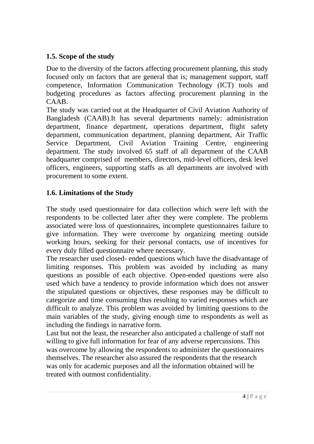## **1.5. Scope of the study**

Due to the diversity of the factors affecting procurement planning, this study focused only on factors that are general that is; management support, staff competence, Information Communication Technology (ICT) tools and budgeting procedures as factors affecting procurement planning in the CAAB.

The study was carried out at the Headquarter of Civil Aviation Authority of Bangladesh (CAAB).It has several departments namely: administration department, finance department, operations department, flight safety department, communication department, planning department, Air Traffic Service Department, Civil Aviation Training Centre, engineering department. The study involved 65 staff of all department of the CAAB headquarter comprised of members, directors, mid-level officers, desk level officers, engineers, supporting staffs as all departments are involved with procurement to some extent.

## **1.6. Limitations of the Study**

The study used questionnaire for data collection which were left with the respondents to be collected later after they were complete. The problems associated were loss of questionnaires, incomplete questionnaires failure to give information. They were overcome by organizing meeting outside working hours, seeking for their personal contacts, use of incentives for every duly filled questionnaire where necessary.

The researcher used closed- ended questions which have the disadvantage of limiting responses. This problem was avoided by including as many questions as possible of each objective. Open-ended questions were also used which have a tendency to provide information which does not answer the stipulated questions or objectives, these responses may be difficult to categorize and time consuming thus resulting to varied responses which are difficult to analyze. This problem was avoided by limiting questions to the main variables of the study, giving enough time to respondents as well as including the findings in narrative form.

Last but not the least, the researcher also anticipated a challenge of staff not willing to give full information for fear of any adverse repercussions. This was overcome by allowing the respondents to administer the questionnaires themselves. The researcher also assured the respondents that the research was only for academic purposes and all the information obtained will be treated with outmost confidentiality.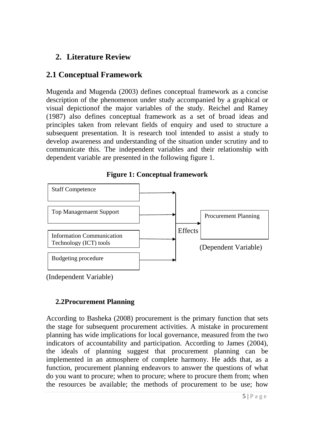# **2. Literature Review**

# **2.1 Conceptual Framework**

Mugenda and Mugenda (2003) defines conceptual framework as a concise description of the phenomenon under study accompanied by a graphical or visual depictionof the major variables of the study. Reichel and Ramey (1987) also defines conceptual framework as a set of broad ideas and principles taken from relevant fields of enquiry and used to structure a subsequent presentation. It is research tool intended to assist a study to develop awareness and understanding of the situation under scrutiny and to communicate this. The independent variables and their relationship with dependent variable are presented in the following figure 1.



**Figure 1: Conceptual framework** 

(Independent Variable)

# **2.2Procurement Planning**

According to Basheka (2008) procurement is the primary function that sets the stage for subsequent procurement activities. A mistake in procurement planning has wide implications for local governance, measured from the two indicators of accountability and participation. According to James (2004), the ideals of planning suggest that procurement planning can be implemented in an atmosphere of complete harmony. He adds that, as a function, procurement planning endeavors to answer the questions of what do you want to procure; when to procure; where to procure them from; when the resources be available; the methods of procurement to be use; how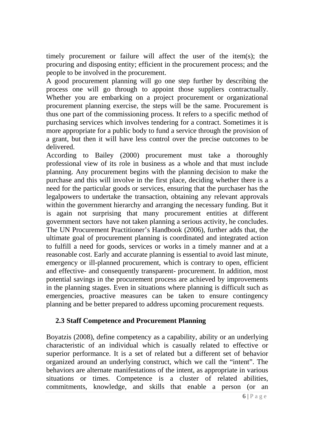timely procurement or failure will affect the user of the item(s); the procuring and disposing entity; efficient in the procurement process; and the people to be involved in the procurement.

A good procurement planning will go one step further by describing the process one will go through to appoint those suppliers contractually. Whether you are embarking on a project procurement or organizational procurement planning exercise, the steps will be the same. Procurement is thus one part of the commissioning process. It refers to a specific method of purchasing services which involves tendering for a contract. Sometimes it is more appropriate for a public body to fund a service through the provision of a grant, but then it will have less control over the precise outcomes to be delivered.

According to Bailey (2000) procurement must take a thoroughly professional view of its role in business as a whole and that must include planning. Any procurement begins with the planning decision to make the purchase and this will involve in the first place, deciding whether there is a need for the particular goods or services, ensuring that the purchaser has the legalpowers to undertake the transaction, obtaining any relevant approvals within the government hierarchy and arranging the necessary funding. But it is again not surprising that many procurement entities at different government sectors have not taken planning a serious activity, he concludes. The UN Procurement Practitioner's Handbook (2006), further adds that, the ultimate goal of procurement planning is coordinated and integrated action to fulfill a need for goods, services or works in a timely manner and at a reasonable cost. Early and accurate planning is essential to avoid last minute, emergency or ill-planned procurement, which is contrary to open, efficient and effective- and consequently transparent- procurement. In addition, most potential savings in the procurement process are achieved by improvements in the planning stages. Even in situations where planning is difficult such as emergencies, proactive measures can be taken to ensure contingency planning and be better prepared to address upcoming procurement requests.

## **2.3 Staff Competence and Procurement Planning**

Boyatzis (2008), define competency as a capability, ability or an underlying characteristic of an individual which is casually related to effective or superior performance. It is a set of related but a different set of behavior organized around an underlying construct, which we call the "intent". The behaviors are alternate manifestations of the intent, as appropriate in various situations or times. Competence is a cluster of related abilities, commitments, knowledge, and skills that enable a person (or an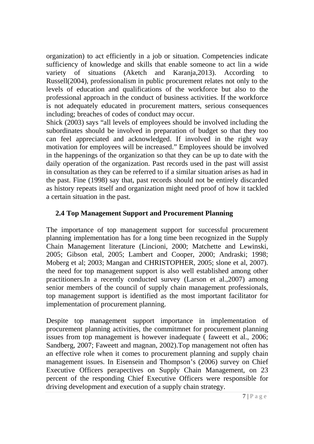organization) to act efficiently in a job or situation. Competencies indicate sufficiency of knowledge and skills that enable someone to act lin a wide variety of situations (Aketch and Karanja,2013). According to Russell(2004), professionalism in public procurement relates not only to the levels of education and qualifications of the workforce but also to the professional approach in the conduct of business activities. If the workforce is not adequately educated in procurement matters, serious consequences including; breaches of codes of conduct may occur.

Shick (2003) says "all levels of employees should be involved including the subordinates should be involved in preparation of budget so that they too can feel appreciated and acknowledged. If involved in the right way motivation for employees will be increased." Employees should be involved in the happenings of the organization so that they can be up to date with the daily operation of the organization. Past records used in the past will assist in consultation as they can be referred to if a similar situation arises as had in the past. Fine (1998) say that, past records should not be entirely discarded as history repeats itself and organization might need proof of how it tackled a certain situation in the past.

## **2.4 Top Management Support and Procurement Planning**

The importance of top management support for successful procurement planning implementation has for a long time been recognized in the Supply Chain Management literature (Lincioni, 2000; Matchette and Lewinski, 2005; Gibson etal, 2005; Lambert and Cooper, 2000; Andraski; 1998; Moberg et al; 2003; Mangan and CHRISTOPHER, 2005; slone et al, 2007). the need for top management support is also well established among other practitioners.In a recently conducted survey (Larson et al.,2007) among senior members of the council of supply chain management professionals, top management support is identified as the most important facilitator for implementation of procurement planning.

Despite top management support importance in implementation of procurement planning activities, the commitmnet for procurement planning issues from top management is however inadequate ( faweett et al., 2006; Sandberg, 2007; Faweett and magnan, 2002).Top management not often has an effective role when it comes to procurement planning and supply chain management issues. In Eisensein and Thompson's (2006) survey on Chief Executive Officers perapectives on Supply Chain Management, on 23 percent of the responding Chief Executive Officers were responsible for driving development and execution of a supply chain strategy.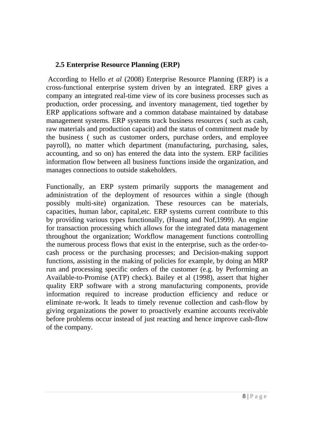## **2.5 Enterprise Resource Planning (ERP)**

 According to Hello *et al* (2008) Enterprise Resource Planning (ERP) is a cross-functional enterprise system driven by an integrated. ERP gives a company an integrated real-time view of its core business processes such as production, order processing, and inventory management, tied together by ERP applications software and a common database maintained by database management systems. ERP systems track business resources ( such as cash, raw materials and production capacit) and the status of commitment made by the business ( such as customer orders, purchase orders, and employee payroll), no matter which department (manufacturing, purchasing, sales, accounting, and so on) has entered the data into the system. ERP facilities information flow between all business functions inside the organization, and manages connections to outside stakeholders.

Functionally, an ERP system primarily supports the management and administration of the deployment of resources within a single (though possibly multi-site) organization. These resources can be materials, capacities, human labor, capital,etc. ERP systems current contribute to this by providing various types functionally, (Huang and Nof,1999). An engine for transaction processing which allows for the integrated data management throughout the organization; Workflow management functions controlling the numerous process flows that exist in the enterprise, such as the order-tocash process or the purchasing processes; and Decision-making support functions, assisting in the making of policies for example, by doing an MRP run and processing specific orders of the customer (e.g. by Performing an Available-to-Promise (ATP) check). Bailey et al (1998), assert that higher quality ERP software with a strong manufacturing components, provide information required to increase production efficiency and reduce or eliminate re-work. It leads to timely revenue collection and cash-flow by giving organizations the power to proactively examine accounts receivable before problems occur instead of just reacting and hence improve cash-flow of the company.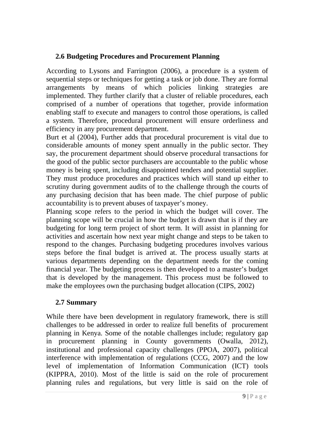## **2.6 Budgeting Procedures and Procurement Planning**

According to Lysons and Farrington (2006), a procedure is a system of sequential steps or techniques for getting a task or job done. They are formal arrangements by means of which policies linking strategies are implemented. They further clarify that a cluster of reliable procedures, each comprised of a number of operations that together, provide information enabling staff to execute and managers to control those operations, is called a system. Therefore, procedural procurement will ensure orderliness and efficiency in any procurement department.

Burt et al (2004), Further adds that procedural procurement is vital due to considerable amounts of money spent annually in the public sector. They say, the procurement department should observe procedural transactions for the good of the public sector purchasers are accountable to the public whose money is being spent, including disappointed tenders and potential supplier. They must produce procedures and practices which will stand up either to scrutiny during government audits of to the challenge through the courts of any purchasing decision that has been made. The chief purpose of public accountability is to prevent abuses of taxpayer's money.

Planning scope refers to the period in which the budget will cover. The planning scope will be crucial in how the budget is drawn that is if they are budgeting for long term project of short term. It will assist in planning for activities and ascertain how next year might change and steps to be taken to respond to the changes. Purchasing budgeting procedures involves various steps before the final budget is arrived at. The process usually starts at various departments depending on the department needs for the coming financial year. The budgeting process is then developed to a master's budget that is developed by the management. This process must be followed to make the employees own the purchasing budget allocation (CIPS, 2002)

## **2.7 Summary**

While there have been development in regulatory framework, there is still challenges to be addressed in order to realize full benefits of procurement planning in Kenya. Some of the notable challenges include; regulatory gap in procurement planning in County governments (Owalla, 2012), institutional and professional capacity challenges (PPOA, 2007), political interference with implementation of regulations (CCG, 2007) and the low level of implementation of Information Communication (ICT) tools (KIPPRA, 2010). Most of the little is said on the role of procurement planning rules and regulations, but very little is said on the role of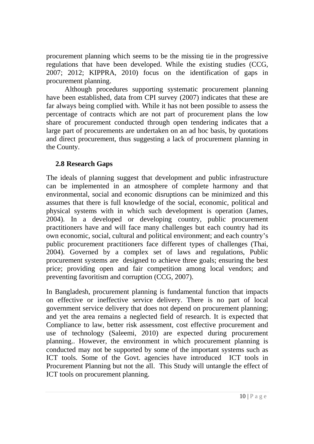procurement planning which seems to be the missing tie in the progressive regulations that have been developed. While the existing studies (CCG, 2007; 2012; KIPPRA, 2010) focus on the identification of gaps in procurement planning.

Although procedures supporting systematic procurement planning have been established, data from CPI survey (2007) indicates that these are far always being complied with. While it has not been possible to assess the percentage of contracts which are not part of procurement plans the low share of procurement conducted through open tendering indicates that a large part of procurements are undertaken on an ad hoc basis, by quotations and direct procurement, thus suggesting a lack of procurement planning in the County.

## **2.8 Research Gaps**

The ideals of planning suggest that development and public infrastructure can be implemented in an atmosphere of complete harmony and that environmental, social and economic disruptions can be minimized and this assumes that there is full knowledge of the social, economic, political and physical systems with in which such development is operation (James, 2004). In a developed or developing country, public procurement practitioners have and will face many challenges but each country had its own economic, social, cultural and political environment; and each country's public procurement practitioners face different types of challenges (Thai, 2004). Governed by a complex set of laws and regulations, Public procurement systems are designed to achieve three goals; ensuring the best price; providing open and fair competition among local vendors; and preventing favoritism and corruption (CCG, 2007).

In Bangladesh, procurement planning is fundamental function that impacts on effective or ineffective service delivery. There is no part of local government service delivery that does not depend on procurement planning; and yet the area remains a neglected field of research. It is expected that Compliance to law, better risk assessment, cost effective procurement and use of technology (Saleemi, 2010) are expected during procurement planning.. However, the environment in which procurement planning is conducted may not be supported by some of the important systems such as ICT tools. Some of the Govt. agencies have introduced ICT tools in Procurement Planning but not the all. This Study will untangle the effect of ICT tools on procurement planning.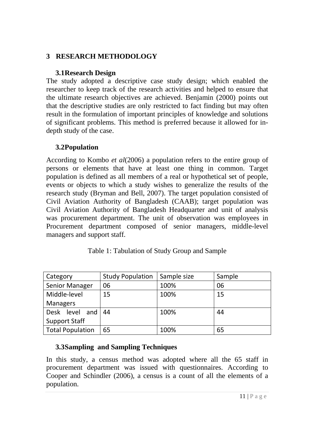## **3 RESEARCH METHODOLOGY**

## **3.1Research Design**

The study adopted a descriptive case study design; which enabled the researcher to keep track of the research activities and helped to ensure that the ultimate research objectives are achieved. Benjamin (2000) points out that the descriptive studies are only restricted to fact finding but may often result in the formulation of important principles of knowledge and solutions of significant problems. This method is preferred because it allowed for indepth study of the case.

## **3.2Population**

According to Kombo *et al*(2006) a population refers to the entire group of persons or elements that have at least one thing in common. Target population is defined as all members of a real or hypothetical set of people, events or objects to which a study wishes to generalize the results of the research study (Bryman and Bell, 2007). The target population consisted of Civil Aviation Authority of Bangladesh (CAAB); target population was Civil Aviation Authority of Bangladesh Headquarter and unit of analysis was procurement department. The unit of observation was employees in Procurement department composed of senior managers, middle-level managers and support staff.

| Category              | <b>Study Population</b> | Sample size | Sample |
|-----------------------|-------------------------|-------------|--------|
| <b>Senior Manager</b> | 06                      | 100%        | 06     |
| Middle-level          | 15                      | 100%        | 15     |
| <b>Managers</b>       |                         |             |        |
| level<br>Desk<br>and  | 44                      | 100%        | 44     |
| <b>Support Staff</b>  |                         |             |        |
| Total Population      | 65                      | 100%        | 65     |

## Table 1: Tabulation of Study Group and Sample

## **3.3Sampling and Sampling Techniques**

In this study, a census method was adopted where all the 65 staff in procurement department was issued with questionnaires. According to Cooper and Schindler (2006), a census is a count of all the elements of a population.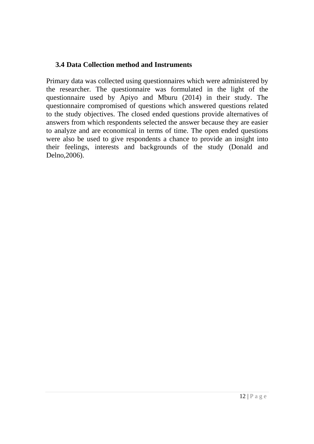## **3.4 Data Collection method and Instruments**

Primary data was collected using questionnaires which were administered by the researcher. The questionnaire was formulated in the light of the questionnaire used by Apiyo and Mburu (2014) in their study. The questionnaire compromised of questions which answered questions related to the study objectives. The closed ended questions provide alternatives of answers from which respondents selected the answer because they are easier to analyze and are economical in terms of time. The open ended questions were also be used to give respondents a chance to provide an insight into their feelings, interests and backgrounds of the study (Donald and Delno,2006).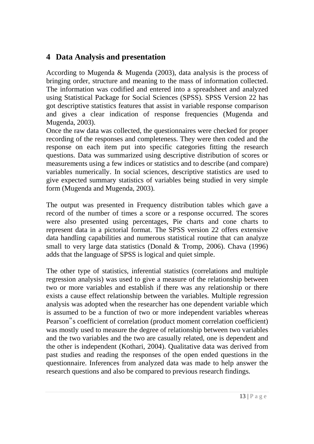## **4 Data Analysis and presentation**

According to Mugenda & Mugenda (2003), data analysis is the process of bringing order, structure and meaning to the mass of information collected. The information was codified and entered into a spreadsheet and analyzed using Statistical Package for Social Sciences (SPSS). SPSS Version 22 has got descriptive statistics features that assist in variable response comparison and gives a clear indication of response frequencies (Mugenda and Mugenda, 2003).

Once the raw data was collected, the questionnaires were checked for proper recording of the responses and completeness. They were then coded and the response on each item put into specific categories fitting the research questions. Data was summarized using descriptive distribution of scores or measurements using a few indices or statistics and to describe (and compare) variables numerically. In social sciences, descriptive statistics are used to give expected summary statistics of variables being studied in very simple form (Mugenda and Mugenda, 2003).

The output was presented in Frequency distribution tables which gave a record of the number of times a score or a response occurred. The scores were also presented using percentages, Pie charts and cone charts to represent data in a pictorial format. The SPSS version 22 offers extensive data handling capabilities and numerous statistical routine that can analyze small to very large data statistics (Donald & Tromp, 2006). Chava (1996) adds that the language of SPSS is logical and quiet simple.

The other type of statistics, inferential statistics (correlations and multiple regression analysis) was used to give a measure of the relationship between two or more variables and establish if there was any relationship or there exists a cause effect relationship between the variables. Multiple regression analysis was adopted when the researcher has one dependent variable which is assumed to be a function of two or more independent variables whereas Pearson"s coefficient of correlation (product moment correlation coefficient) was mostly used to measure the degree of relationship between two variables and the two variables and the two are casually related, one is dependent and the other is independent (Kothari, 2004). Qualitative data was derived from past studies and reading the responses of the open ended questions in the questionnaire. Inferences from analyzed data was made to help answer the research questions and also be compared to previous research findings.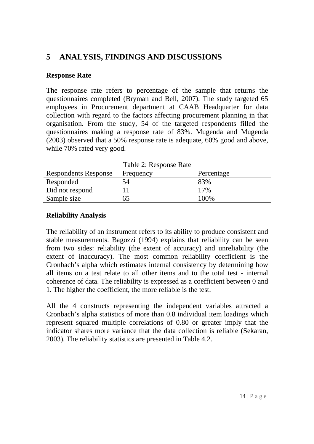## **5 ANALYSIS, FINDINGS AND DISCUSSIONS**

## **Response Rate**

The response rate refers to percentage of the sample that returns the questionnaires completed (Bryman and Bell, 2007). The study targeted 65 employees in Procurement department at CAAB Headquarter for data collection with regard to the factors affecting procurement planning in that organisation. From the study, 54 of the targeted respondents filled the questionnaires making a response rate of 83%. Mugenda and Mugenda (2003) observed that a 50% response rate is adequate, 60% good and above, while 70% rated very good.

Table 2: Response Rate Respondents Response Frequency Percentage Responded 54 83% Did not respond 11 17% Sample size 65 100%

**Reliability Analysis** 

The reliability of an instrument refers to its ability to produce consistent and stable measurements. Bagozzi (1994) explains that reliability can be seen from two sides: reliability (the extent of accuracy) and unreliability (the extent of inaccuracy). The most common reliability coefficient is the Cronbach's alpha which estimates internal consistency by determining how all items on a test relate to all other items and to the total test - internal coherence of data. The reliability is expressed as a coefficient between 0 and 1. The higher the coefficient, the more reliable is the test.

All the 4 constructs representing the independent variables attracted a Cronbach's alpha statistics of more than 0.8 individual item loadings which represent squared multiple correlations of 0.80 or greater imply that the indicator shares more variance that the data collection is reliable (Sekaran, 2003). The reliability statistics are presented in Table 4.2.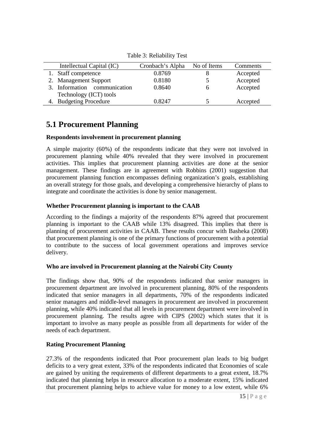| Intellectual Capital (IC)    | Cronbach's Alpha | No of Items | Comments |
|------------------------------|------------------|-------------|----------|
| 1. Staff competence          | 0.8769           |             | Accepted |
| 2. Management Support        | 0.8180           |             | Accepted |
| 3. Information communication | 0.8640           |             | Accepted |
| Technology (ICT) tools       |                  |             |          |
| <b>Budgeting Procedure</b>   | 0 8247           |             | Accepted |

Table 3: Reliability Test

## **5.1 Procurement Planning**

#### **Respondents involvement in procurement planning**

A simple majority (60%) of the respondents indicate that they were not involved in procurement planning while 40% revealed that they were involved in procurement activities. This implies that procurement planning activities are done at the senior management. These findings are in agreement with Robbins (2001) suggestion that procurement planning function encompasses defining organization's goals, establishing an overall strategy for those goals, and developing a comprehensive hierarchy of plans to integrate and coordinate the activities is done by senior management.

### **Whether Procurement planning is important to the CAAB**

According to the findings a majority of the respondents 87% agreed that procurement planning is important to the CAAB while 13% disagreed. This implies that there is planning of procurement activities in CAAB. These results concur with Basheka (2008) that procurement planning is one of the primary functions of procurement with a potential to contribute to the success of local government operations and improves service delivery.

### **Who are involved in Procurement planning at the Nairobi City County**

The findings show that, 90% of the respondents indicated that senior managers in procurement department are involved in procurement planning, 80% of the respondents indicated that senior managers in all departments, 70% of the respondents indicated senior managers and middle-level managers in procurement are involved in procurement planning, while 40% indicated that all levels in procurement department were involved in procurement planning. The results agree with CIPS (2002) which states that it is important to involve as many people as possible from all departments for wider of the needs of each department.

## **Rating Procurement Planning**

27.3% of the respondents indicated that Poor procurement plan leads to big budget deficits to a very great extent, 33% of the respondents indicated that Economies of scale are gained by uniting the requirements of different departments to a great extent, 18.7% indicated that planning helps in resource allocation to a moderate extent, 15% indicated that procurement planning helps to achieve value for money to a low extent, while 6%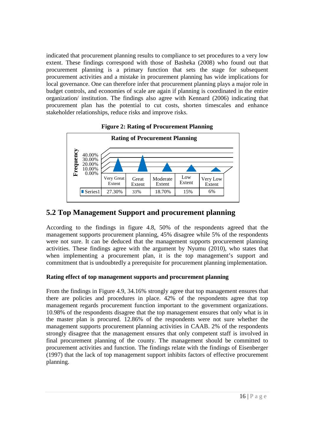indicated that procurement planning results to compliance to set procedures to a very low extent. These findings correspond with those of Basheka (2008) who found out that procurement planning is a primary function that sets the stage for subsequent procurement activities and a mistake in procurement planning has wide implications for local governance. One can therefore infer that procurement planning plays a major role in budget controls, and economies of scale are again if planning is coordinated in the entire organization/ institution. The findings also agree with Kennard (2006) indicating that procurement plan has the potential to cut costs, shorten timescales and enhance stakeholder relationships, reduce risks and improve risks.



**Figure 2: Rating of Procurement Planning** 

## **5.2 Top Management Support and procurement planning**

According to the findings in figure 4.8, 50% of the respondents agreed that the management supports procurement planning, 45% disagree while 5% of the respondents were not sure. It can be deduced that the management supports procurement planning activities. These findings agree with the argument by Nyumu (2010), who states that when implementing a procurement plan, it is the top management's support and commitment that is undoubtedly a prerequisite for procurement planning implementation.

### **Rating effect of top management supports and procurement planning**

From the findings in Figure 4.9, 34.16% strongly agree that top management ensures that there are policies and procedures in place. 42% of the respondents agree that top management regards procurement function important to the government organizations. 10.98% of the respondents disagree that the top management ensures that only what is in the master plan is procured. 12.86% of the respondents were not sure whether the management supports procurement planning activities in CAAB. 2% of the respondents strongly disagree that the management ensures that only competent staff is involved in final procurement planning of the county. The management should be committed to procurement activities and function. The findings relate with the findings of Eisenberger (1997) that the lack of top management support inhibits factors of effective procurement planning.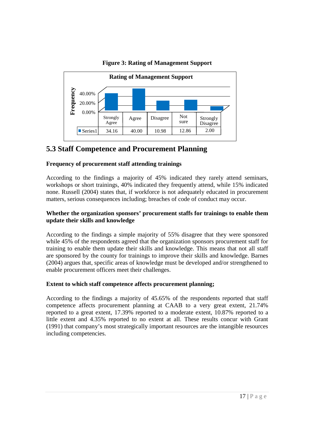

#### **Figure 3: Rating of Management Support**

## **5.3 Staff Competence and Procurement Planning**

### **Frequency of procurement staff attending trainings**

According to the findings a majority of 45% indicated they rarely attend seminars, workshops or short trainings, 40% indicated they frequently attend, while 15% indicated none. Russell (2004) states that, if workforce is not adequately educated in procurement matters, serious consequences including; breaches of code of conduct may occur.

#### **Whether the organization sponsors' procurement staffs for trainings to enable them update their skills and knowledge**

According to the findings a simple majority of 55% disagree that they were sponsored while 45% of the respondents agreed that the organization sponsors procurement staff for training to enable them update their skills and knowledge. This means that not all staff are sponsored by the county for trainings to improve their skills and knowledge. Barnes (2004) argues that, specific areas of knowledge must be developed and/or strengthened to enable procurement officers meet their challenges.

### **Extent to which staff competence affects procurement planning;**

According to the findings a majority of 45.65% of the respondents reported that staff competence affects procurement planning at CAAB to a very great extent, 21.74% reported to a great extent, 17.39% reported to a moderate extent, 10.87% reported to a little extent and 4.35% reported to no extent at all. These results concur with Grant (1991) that company's most strategically important resources are the intangible resources including competencies.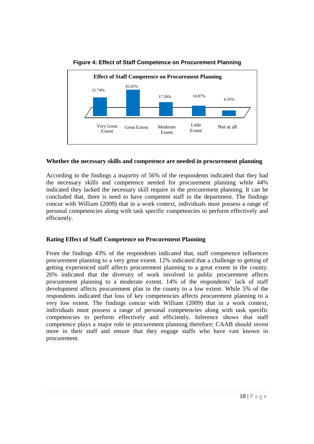

**Figure 4: Effect of Staff Competence on Procurement Planning**

#### **Whether the necessary skills and competence are needed in procurement planning**

According to the findings a majority of 56% of the respondents indicated that they had the necessary skills and competence needed for procurement planning while 44% indicated they lacked the necessary skill require in the procurement planning. It can be concluded that, there is need to have competent staff in the department. The findings concur with William (2009) that in a work context, individuals must possess a range of personal competencies along with task specific competencies to perform effectively and efficiently.

### **Rating Effect of Staff Competence on Procurement Planning**

From the findings 43% of the respondents indicated that, staff competence influences procurement planning to a very great extent. 12% indicated that a challenge to getting of getting experienced staff affects procurement planning to a great extent in the county. 26% indicated that the diversity of work involved in public procurement affects procurement planning to a moderate extent. 14% of the respondents' lack of staff development affects procurement plan in the county to a low extent. While 5% of the respondents indicated that loss of key competencies affects procurement planning to a very low extent. The findings concur with William (2009) that in a work context, individuals must possess a range of personal competencies along with task specific competencies to perform effectively and efficiently. Inference shows that staff competence plays a major role in procurement planning therefore; CAAB should invest more in their staff and ensure that they engage staffs who have vast known in procurement.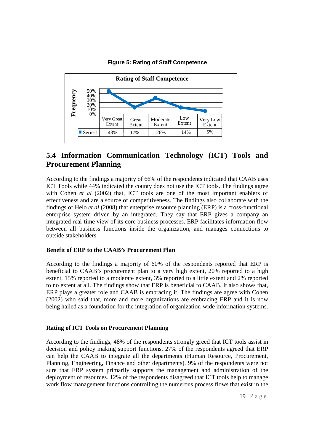

### **Figure 5: Rating of Staff Competence**

## **5.4 Information Communication Technology (ICT) Tools and Procurement Planning**

According to the findings a majority of 66% of the respondents indicated that CAAB uses ICT Tools while 44% indicated the county does not use the ICT tools. The findings agree with Cohen *et al* (2002) that, ICT tools are one of the most important enablers of effectiveness and are a source of competitiveness. The findings also collaborate with the findings of Helo *et al* (2008) that enterprise resource planning (ERP) is a cross-functional enterprise system driven by an integrated. They say that ERP gives a company an integrated real-time view of its core business processes. ERP facilitates information flow between all business functions inside the organization, and manages connections to outside stakeholders.

#### **Benefit of ERP to the CAAB's Procurement Plan**

According to the findings a majority of 60% of the respondents reported that ERP is beneficial to CAAB's procurement plan to a very high extent, 20% reported to a high extent, 15% reported to a moderate extent, 3% reported to a little extent and 2% reported to no extent at all. The findings show that ERP is beneficial to CAAB. It also shows that, ERP plays a greater role and CAAB is embracing it. The findings are agree with Cohen (2002) who said that, more and more organizations are embracing ERP and it is now being hailed as a foundation for the integration of organization-wide information systems.

#### **Rating of ICT Tools on Procurement Planning**

According to the findings, 48% of the respondents strongly greed that ICT tools assist in decision and policy making support functions. 27% of the respondents agreed that ERP can help the CAAB to integrate all the departments (Human Resource, Procurement, Planning, Engineering, Finance and other departments). 9% of the respondents were not sure that ERP system primarily supports the management and administration of the deployment of resources. 12% of the respondents disagreed that ICT tools help to manage work flow management functions controlling the numerous process flows that exist in the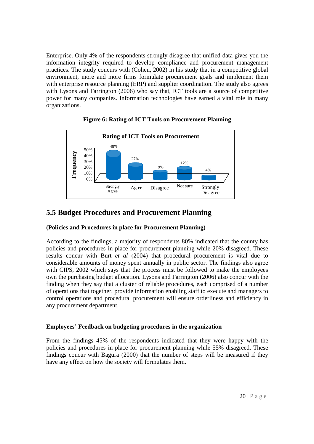Enterprise. Only 4% of the respondents strongly disagree that unified data gives you the information integrity required to develop compliance and procurement management practices. The study concurs with (Cohen, 2002) in his study that in a competitive global environment, more and more firms formulate procurement goals and implement them with enterprise resource planning (ERP) and supplier coordination. The study also agrees with Lysons and Farrington (2006) who say that, ICT tools are a source of competitive power for many companies. Information technologies have earned a vital role in many organizations.



### **Figure 6: Rating of ICT Tools on Procurement Planning**

## **5.5 Budget Procedures and Procurement Planning**

#### **(Policies and Procedures in place for Procurement Planning)**

According to the findings, a majority of respondents 80% indicated that the county has policies and procedures in place for procurement planning while 20% disagreed. These results concur with Burt *et al* (2004) that procedural procurement is vital due to considerable amounts of money spent annually in public sector. The findings also agree with CIPS, 2002 which says that the process must be followed to make the employees own the purchasing budget allocation. Lysons and Farrington (2006) also concur with the finding when they say that a cluster of reliable procedures, each comprised of a number of operations that together, provide information enabling staff to execute and managers to control operations and procedural procurement will ensure orderliness and efficiency in any procurement department.

### **Employees' Feedback on budgeting procedures in the organization**

From the findings 45% of the respondents indicated that they were happy with the policies and procedures in place for procurement planning while 55% disagreed. These findings concur with Bagura (2000) that the number of steps will be measured if they have any effect on how the society will formulates them.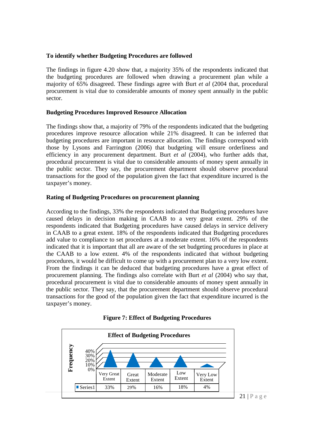#### **To identify whether Budgeting Procedures are followed**

The findings in figure 4.20 show that, a majority 35% of the respondents indicated that the budgeting procedures are followed when drawing a procurement plan while a majority of 65% disagreed. These findings agree with Burt *et al* (2004 that, procedural procurement is vital due to considerable amounts of money spent annually in the public sector.

#### **Budgeting Procedures Improved Resource Allocation**

The findings show that, a majority of 79% of the respondents indicated that the budgeting procedures improve resource allocation while 21% disagreed. It can be inferred that budgeting procedures are important in resource allocation. The findings correspond with those by Lysons and Farrington (2006) that budgeting will ensure orderliness and efficiency in any procurement department. Burt *et al* (2004), who further adds that, procedural procurement is vital due to considerable amounts of money spent annually in the public sector. They say, the procurement department should observe procedural transactions for the good of the population given the fact that expenditure incurred is the taxpayer's money.

#### **Rating of Budgeting Procedures on procurement planning**

According to the findings, 33% the respondents indicated that Budgeting procedures have caused delays in decision making in CAAB to a very great extent. 29% of the respondents indicated that Budgeting procedures have caused delays in service delivery in CAAB to a great extent. 18% of the respondents indicated that Budgeting procedures add value to compliance to set procedures at a moderate extent. 16% of the respondents indicated that it is important that all are aware of the set budgeting procedures in place at the CAAB to a low extent. 4% of the respondents indicated that without budgeting procedures, it would be difficult to come up with a procurement plan to a very low extent. From the findings it can be deduced that budgeting procedures have a great effect of procurement planning. The findings also correlate with Burt *et al* (2004) who say that, procedural procurement is vital due to considerable amounts of money spent annually in the public sector. They say, that the procurement department should observe procedural transactions for the good of the population given the fact that expenditure incurred is the taxpayer's money.



#### **Figure 7: Effect of Budgeting Procedures**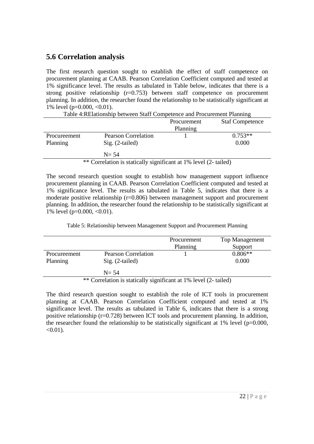## **5.6 Correlation analysis**

The first research question sought to establish the effect of staff competence on procurement planning at CAAB. Pearson Correlation Coefficient computed and tested at 1% significance level. The results as tabulated in Table below, indicates that there is a strong positive relationship (r=0.753) between staff competence on procurement planning. In addition, the researcher found the relationship to be statistically significant at 1% level (p=0.000, <0.01).  $T_{\rm e}$   $T_{\rm e}$  and  $T_{\rm e}$  and  $T_{\rm e}$  is the planning planning  $T_{\rm e}$  and  $T_{\rm e}$  and  $T_{\rm e}$   $T_{\rm e}$  and  $T_{\rm e}$  and  $T_{\rm e}$  and  $T_{\rm e}$  and  $T_{\rm e}$  and  $T_{\rm e}$  and  $T_{\rm e}$  and  $T_{\rm e}$  and  $T_{\rm e}$  and

| Table 4. Relationship between Start Competence and Procurement Planning |                            |          |           |  |  |
|-------------------------------------------------------------------------|----------------------------|----------|-----------|--|--|
| <b>Staf Competence</b><br>Procurement                                   |                            |          |           |  |  |
|                                                                         |                            | Planning |           |  |  |
| Procureement                                                            | <b>Pearson Correlation</b> |          | $0.753**$ |  |  |
| Planning<br>$Sig. (2-tailed)$                                           |                            |          | 0.000     |  |  |
| $N = 54$                                                                |                            |          |           |  |  |
|                                                                         |                            |          |           |  |  |

\*\* Correlation is statically significant at 1% level (2- tailed)

The second research question sought to establish how management support influence procurement planning in CAAB. Pearson Correlation Coefficient computed and tested at 1% significance level. The results as tabulated in Table 5, indicates that there is a moderate positive relationship (r=0.806) between management support and procurement planning. In addition, the researcher found the relationship to be statistically significant at 1% level (p=0.000, <0.01).

Table 5: Relationship between Management Support and Procurement Planning

|                          |                                                 | Procurement<br>Planning | <b>Top Management</b><br>Support |
|--------------------------|-------------------------------------------------|-------------------------|----------------------------------|
| Procureement<br>Planning | <b>Pearson Correlation</b><br>$Sig. (2-tailed)$ |                         | $0.806**$<br>0.000               |
|                          | $N = 54$                                        |                         |                                  |

\*\* Correlation is statically significant at 1% level (2- tailed)

The third research question sought to establish the role of ICT tools in procurement planning at CAAB. Pearson Correlation Coefficient computed and tested at 1% significance level. The results as tabulated in Table 6, indicates that there is a strong positive relationship (r=0.728) between ICT tools and procurement planning. In addition, the researcher found the relationship to be statistically significant at  $1\%$  level (p=0.000,  $< 0.01$ ).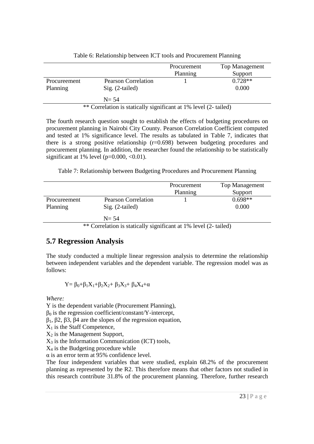|                                                                  |                                                 | Procurement<br>Planning | Top Management<br>Support |  |
|------------------------------------------------------------------|-------------------------------------------------|-------------------------|---------------------------|--|
| Procureement<br>Planning                                         | <b>Pearson Correlation</b><br>$Sig. (2-tailed)$ |                         | $0.728**$<br>0.000        |  |
|                                                                  | $N = 54$                                        |                         |                           |  |
| ** Correlation is statically significant at 1% level (2- tailed) |                                                 |                         |                           |  |

#### Table 6: Relationship between ICT tools and Procurement Planning

The fourth research question sought to establish the effects of budgeting procedures on procurement planning in Nairobi City County. Pearson Correlation Coefficient computed and tested at 1% significance level. The results as tabulated in Table 7, indicates that there is a strong positive relationship (r=0.698) between budgeting procedures and procurement planning. In addition, the researcher found the relationship to be statistically significant at 1% level ( $p=0.000, <0.01$ ).

Table 7: Relationship between Budgeting Procedures and Procurement Planning

|                          |                                                 | Procurement<br>Planning | <b>Top Management</b><br>Support |
|--------------------------|-------------------------------------------------|-------------------------|----------------------------------|
| Procureement<br>Planning | <b>Pearson Correlation</b><br>$Sig. (2-tailed)$ |                         | $0.698**$<br>0.000               |
|                          | $N = 54$                                        |                         |                                  |

\*\* Correlation is statically significant at 1% level (2- tailed)

## **5.7 Regression Analysis**

The study conducted a multiple linear regression analysis to determine the relationship between independent variables and the dependent variable. The regression model was as follows:

$$
Y\!\!=\beta_0\!\!+\!\!\beta_1X_1\!\!+\!\!\beta_2X_2\!\!+\beta_3X_3\!\!+\beta_4X_4\!\!+\!\alpha
$$

*Where:* 

Y is the dependent variable (Procurement Planning),

 $β<sub>0</sub>$  is the regression coefficient/constant/Y-intercept,

β1, β2, β3, β4 are the slopes of the regression equation,

 $X_1$  is the Staff Competence,

 $X_2$  is the Management Support,

 $X_3$  is the Information Communication (ICT) tools,

 $X_4$  is the Budgeting procedure while

α is an error term at 95% confidence level.

The four independent variables that were studied, explain 68.2% of the procurement planning as represented by the R2. This therefore means that other factors not studied in this research contribute 31.8% of the procurement planning. Therefore, further research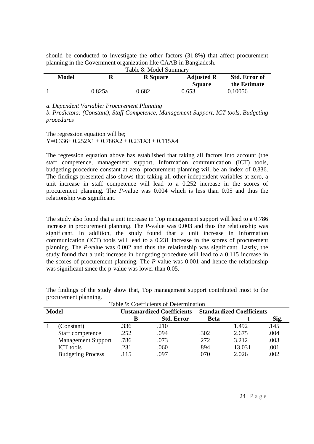should be conducted to investigate the other factors (31.8%) that affect procurement planning in the Government organization like CAAB in Bangladesh.

| Table 8: Model Summary                                                            |        |       |               |              |  |  |
|-----------------------------------------------------------------------------------|--------|-------|---------------|--------------|--|--|
| <b>Model</b><br><b>Std. Error of</b><br><b>R</b> Square<br><b>Adjusted R</b><br>R |        |       |               |              |  |  |
|                                                                                   |        |       | <b>Square</b> | the Estimate |  |  |
|                                                                                   | 0.825a | 0.682 | 0.653         | 0.10056      |  |  |

*a. Dependent Variable: Procurement Planning* 

*b. Predictors: (Constant), Staff Competence, Management Support, ICT tools, Budgeting procedures* 

The regression equation will be;  $Y=0.336+0.252X1+0.786X2+0.231X3+0.115X4$ 

The regression equation above has established that taking all factors into account (the staff competence, management support, Information communication (ICT) tools, budgeting procedure constant at zero, procurement planning will be an index of 0.336. The findings presented also shows that taking all other independent variables at zero, a unit increase in staff competence will lead to a 0.252 increase in the scores of procurement planning. The *P*-value was 0.004 which is less than 0.05 and thus the relationship was significant.

The study also found that a unit increase in Top management support will lead to a 0.786 increase in procurement planning. The *P*-value was 0.003 and thus the relationship was significant. In addition, the study found that a unit increase in Information communication (ICT) tools will lead to a 0.231 increase in the scores of procurement planning. The *P*-value was 0.002 and thus the relationship was significant. Lastly, the study found that a unit increase in budgeting procedure will lead to a 0.115 increase in the scores of procurement planning. The *P*-value was 0.001 and hence the relationship was significant since the p-value was lower than 0.05.

|              | rable 9: Coefficients of Determination |      |                                   |      |                                  |      |  |  |
|--------------|----------------------------------------|------|-----------------------------------|------|----------------------------------|------|--|--|
| <b>Model</b> |                                        |      | <b>Unstanardized Coefficients</b> |      | <b>Standardized Coefficients</b> |      |  |  |
|              |                                        | в    | <b>Std. Error</b>                 | Beta |                                  | Sig. |  |  |
|              | (Constant)                             | .336 | .210                              |      | 1.492                            | .145 |  |  |
|              | Staff competence                       | .252 | .094                              | .302 | 2.675                            | .004 |  |  |
|              | <b>Management Support</b>              | .786 | .073                              | .272 | 3.212                            | .003 |  |  |
|              | <b>ICT</b> tools                       | .231 | .060                              | .894 | 13.031                           | .001 |  |  |
|              | <b>Budgeting Process</b>               | .115 | .097                              | .070 | 2.026                            | .002 |  |  |

The findings of the study show that, Top management support contributed most to the procurement planning. Table 9: Coefficients of Determination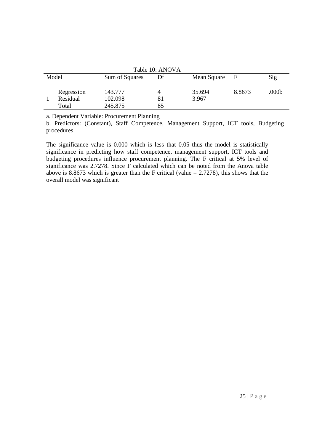|  | Table 10: ANOVA |                |    |             |             |       |
|--|-----------------|----------------|----|-------------|-------------|-------|
|  | Model           | Sum of Squares | Df | Mean Square | $\mathbf F$ | Sig   |
|  |                 |                |    |             |             |       |
|  | Regression      | 143.777        |    | 35.694      | 8.8673      | .000b |
|  | Residual        | 102.098        |    | 3.967       |             |       |
|  | Total           | 245.875        | 85 |             |             |       |

a. Dependent Variable: Procurement Planning

b. Predictors: (Constant), Staff Competence, Management Support, ICT tools, Budgeting procedures

The significance value is 0.000 which is less that 0.05 thus the model is statistically significance in predicting how staff competence, management support, ICT tools and budgeting procedures influence procurement planning. The F critical at 5% level of significance was 2.7278. Since F calculated which can be noted from the Anova table above is 8.8673 which is greater than the F critical (value  $= 2.7278$ ), this shows that the overall model was significant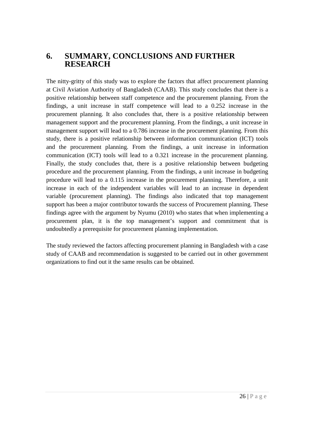## **6. SUMMARY, CONCLUSIONS AND FURTHER RESEARCH**

The nitty-gritty of this study was to explore the factors that affect procurement planning at Civil Aviation Authority of Bangladesh (CAAB). This study concludes that there is a positive relationship between staff competence and the procurement planning. From the findings, a unit increase in staff competence will lead to a 0.252 increase in the procurement planning. It also concludes that, there is a positive relationship between management support and the procurement planning. From the findings, a unit increase in management support will lead to a 0.786 increase in the procurement planning. From this study, there is a positive relationship between information communication (ICT) tools and the procurement planning. From the findings, a unit increase in information communication (ICT) tools will lead to a 0.321 increase in the procurement planning. Finally, the study concludes that, there is a positive relationship between budgeting procedure and the procurement planning. From the findings, a unit increase in budgeting procedure will lead to a 0.115 increase in the procurement planning. Therefore, a unit increase in each of the independent variables will lead to an increase in dependent variable (procurement planning). The findings also indicated that top management support has been a major contributor towards the success of Procurement planning. These findings agree with the argument by Nyumu (2010) who states that when implementing a procurement plan, it is the top management's support and commitment that is undoubtedly a prerequisite for procurement planning implementation.

The study reviewed the factors affecting procurement planning in Bangladesh with a case study of CAAB and recommendation is suggested to be carried out in other government organizations to find out it the same results can be obtained.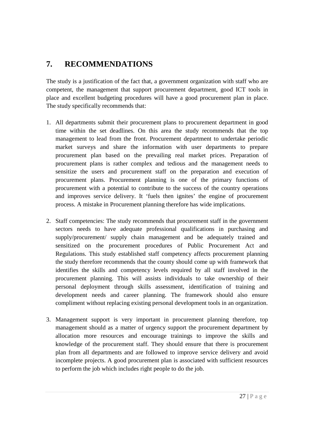# **7. RECOMMENDATIONS**

The study is a justification of the fact that, a government organization with staff who are competent, the management that support procurement department, good ICT tools in place and excellent budgeting procedures will have a good procurement plan in place. The study specifically recommends that:

- 1. All departments submit their procurement plans to procurement department in good time within the set deadlines. On this area the study recommends that the top management to lead from the front. Procurement department to undertake periodic market surveys and share the information with user departments to prepare procurement plan based on the prevailing real market prices. Preparation of procurement plans is rather complex and tedious and the management needs to sensitize the users and procurement staff on the preparation and execution of procurement plans. Procurement planning is one of the primary functions of procurement with a potential to contribute to the success of the country operations and improves service delivery. It 'fuels then ignites' the engine of procurement process. A mistake in Procurement planning therefore has wide implications.
- 2. Staff competencies: The study recommends that procurement staff in the government sectors needs to have adequate professional qualifications in purchasing and supply/procurement/ supply chain management and be adequately trained and sensitized on the procurement procedures of Public Procurement Act and Regulations. This study established staff competency affects procurement planning the study therefore recommends that the county should come up with framework that identifies the skills and competency levels required by all staff involved in the procurement planning. This will assists individuals to take ownership of their personal deployment through skills assessment, identification of training and development needs and career planning. The framework should also ensure compliment without replacing existing personal development tools in an organization.
- 3. Management support is very important in procurement planning therefore, top management should as a matter of urgency support the procurement department by allocation more resources and encourage trainings to improve the skills and knowledge of the procurement staff. They should ensure that there is procurement plan from all departments and are followed to improve service delivery and avoid incomplete projects. A good procurement plan is associated with sufficient resources to perform the job which includes right people to do the job.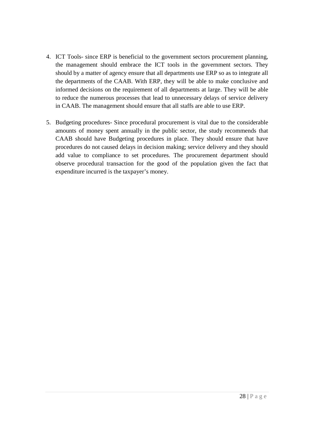- 4. ICT Tools- since ERP is beneficial to the government sectors procurement planning, the management should embrace the ICT tools in the government sectors. They should by a matter of agency ensure that all departments use ERP so as to integrate all the departments of the CAAB. With ERP, they will be able to make conclusive and informed decisions on the requirement of all departments at large. They will be able to reduce the numerous processes that lead to unnecessary delays of service delivery in CAAB. The management should ensure that all staffs are able to use ERP.
- 5. Budgeting procedures- Since procedural procurement is vital due to the considerable amounts of money spent annually in the public sector, the study recommends that CAAB should have Budgeting procedures in place. They should ensure that have procedures do not caused delays in decision making; service delivery and they should add value to compliance to set procedures. The procurement department should observe procedural transaction for the good of the population given the fact that expenditure incurred is the taxpayer's money.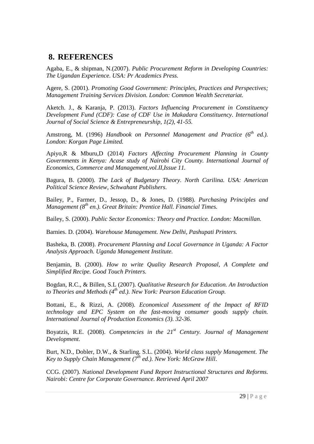## **8. REFERENCES**

Agaba, E., & shipman, N.(2007). *Public Procurement Reform in Developing Countries: The Ugandan Experience. USA: Pr Academics Press.* 

Agere, S. (2001). *Promoting Good Government: Principles, Practices and Perspectives; Management Training Services Division. London: Common Wealth Secretariat.* 

Aketch. J., & Karanja, P. (2013). *Factors Influencing Procurement in Constituency Development Fund (CDF): Case of CDF Use in Makadara Constituency. International Journal of Social Science & Entrepreneurship, 1(2), 41-55.* 

Amstrong, M. (1996) *Handbook on Personnel Management and Practice (6th ed.). London: Korgan Page Limited.* 

Apiyo,R & Mburu,D (2014) *Factors Affecting Procurement Planning in County Governments in Kenya: Acase study of Nairobi City County. International Journal of Economics, Commerce and Management,vol.II,Issue 11.* 

Bagura, B. (2000). *The Lack of Budgetary Theory. North Carilina. USA: American Political Science Review, Schwahant Publishers*.

Bailey, P., Farmer, D., Jessop, D., & Jones, D. (1988). *Purchasing Principles and Management (8th en.). Great Britain: Prentice Hall. Financial Times.* 

Bailey, S. (2000). *Public Sector Economics: Theory and Practice. London: Macmillan.* 

Barnies. D. (2004). *Warehouse Management. New Delhi, Pashupati Printers.* 

Basheka, B. (2008). *Procurement Planning and Local Governance in Uganda: A Factor Analysis Approach. Uganda Management Institute.* 

Benjamin, B. (2000). *How to write Quality Research Proposal, A Complete and Simplified Recipe. Good Touch Printers.* 

Bogdan, R.C., & Billen, S.L (2007). *Qualitative Research for Education. An Introduction to Theories and Methods (4th ed.). New York: Pearson Education Group.* 

Bottani, E., & Rizzi, A. (2008). *Economical Assessment of the Impact of RFID technology and EPC System on the fast-moving consumer goods supply chain. International Journal of Production Economics (3). 32-36.* 

Boyatzis, R.E. (2008). *Competencies in the 21st Century. Journal of Management Development.* 

Burt, N.D., Dobler, D.W., & Starling. S.L. (2004). *World class supply Management. The Key to Supply Chain Management (7th ed.). New York: McGraw Hill*.

CCG. (2007). *National Development Fund Report Instructional Structures and Reforms. Nairobi: Centre for Corporate Governance. Retrieved April 2007*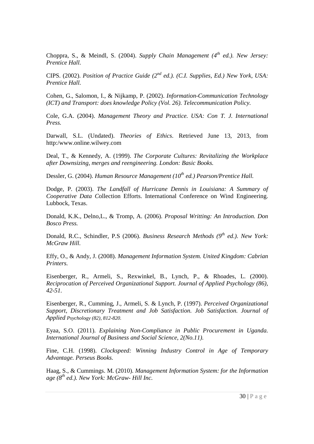Choppra, S., & Meindl, S. (2004). *Supply Chain Management (4th ed.). New Jersey: Prentice Hall.* 

CIPS. (2002). *Position of Practice Guide (2nd ed.). (C.I. Supplies, Ed.) New York, USA: Prentice Hall.* 

Cohen, G., Salomon, I., & Nijkamp, P. (2002). *Information-Communication Technology (ICT) and Transport: does knowledge Policy (Vol. 26). Telecommunication Policy.* 

Cole, G.A. (2004). *Management Theory and Practice. USA: Con T. J. International Press.* 

Darwall, S.L. (Undated). *Theories of Ethics*. Retrieved June 13, 2013, from http:/www.online.wilwey.com

Deal, T., & Kennedy, A. (1999). *The Corporate Cultures: Revitalizing the Workplace after Downsizing, merges and reengineering. London: Basic Books.* 

Dessler, G. (2004). *Human Resource Management (10th ed.) Pearson/Prentice Hall.* 

Dodge, P. (2003). *The Landfall of Hurricane Dennis in Louisiana: A Summary of Cooperative Data C*ollection Efforts. International Conference on Wind Engineering. Lubbock, Texas.

Donald, K.K., Delno,L., & Tromp, A. (2006). *Proposal Writting: An Introduction. Don Bosco Press.* 

Donald, R.C., Schindler, P.S (2006). *Business Research Methods (9th ed.). New York: McGraw Hill.* 

Effy, O., & Andy, J. (2008). *Management Information System. United Kingdom: Cabrian Printers.* 

Eisenberger, R., Armeli, S., Rexwinkel, B., Lynch, P., & Rhoades, L. (2000). *Reciprocation of Perceived Organizational Support. Journal of Applied Psychology (86), 42-51.*

Eisenberger, R., Cumming, J., Armeli, S. & Lynch, P. (1997). *Perceived Organizational Support, Discretionary Treatment and Job Satisfaction. Job Satisfaction. Journal of Applied Psychology (82), 812-820.* 

Eyaa, S.O. (2011). *Explaining Non-Compliance in Public Procurement in Uganda. International Journal of Business and Social Science, 2(No.11).* 

Fine, C.H. (1998). *Clockspeed: Winning Industry Control in Age of Temporary Advantage. Perseus Books.* 

Haag, S., & Cummings. M. (2010). *Management Information System: for the Information age (8th ed.). New York: McGraw- Hill Inc.*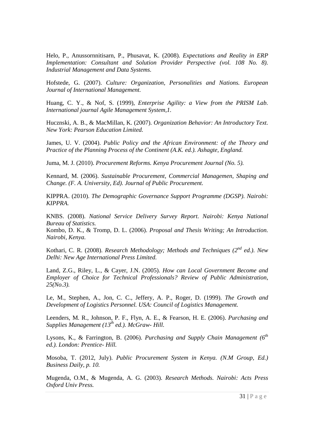Helo, P., Anussornnitisarn, P., Phusavat, K. (2008). *Expectations and Reality in ERP Implementation: Consultant and Solution Provider Perspective (vol. 108 No. 8). Industrial Management and Data Systems.* 

Hofstede, G. (2007). *Culture: Organization, Personalities and Nations. European Journal of International Management.* 

Huang, C. Y., & Nof, S. (1999), *Enterprise Agility: a View from the PRISM Lab. International journal Agile Management System,1.* 

Hucznski, A. B., & MacMillan, K. (2007). *Organization Behavior: An Introductory Text. New York: Pearson Education Limited.* 

James, U. V. (2004). *Public Policy and the African Environment: of the Theory and Practice of the Planning Process of the Continent (A.K. ed.). Ashagte, England.* 

Juma, M. J. (2010). *Procurement Reforms. Kenya Procurement Journal (No. 5).* 

Kennard, M. (2006). *Sustainable Procurement, Commercial Managemen, Shaping and Change. (F. A. University, Ed). Journal of Public Procurement.* 

KIPPRA. (2010). *The Demographic Governance Support Programme (DGSP). Nairobi: KIPPRA.* 

KNBS. (2008). *National Service Delivery Survey Report. Nairobi: Kenya National Bureau of Statistics.* 

Kombo, D. K., & Tromp, D. L. (2006). *Proposal and Thesis Writing; An Introduction. Nairobi, Kenya.* 

Kothari, C. R. (2008). *Research Methodology; Methods and Techniques (2nd ed.). New Delhi: New Age International Press Limited.*

Land, Z.G., Riley, L., & Cayer, J.N. (2005). *How can Local Government Become and Employer of Choice for Technical Professionals? Review of Public Administration, 25(No.3).* 

Le, M., Stephen, A., Jon, C. C., Jeffery, A. P., Roger, D. (1999). *The Growth and Development of Logistics Personnel. USA: Council of Logistics Management.* 

Leenders, M. R., Johnson, P. F., Flyn, A. E., & Fearson, H. E. (2006). *Purchasing and Supplies Management (13th ed.). McGraw- Hill.* 

Lysons, K., & Farrington, B. (2006). *Purchasing and Supply Chain Management (6th ed.). London: Prentice- Hill.* 

Mosoba, T. (2012, July). *Public Procurement System in Kenya. (N.M Group, Ed.) Business Daily, p. 10.* 

Mugenda, O.M., & Mugenda, A. G. (2003). *Research Methods. Nairobi: Acts Press Oxford Univ Press.*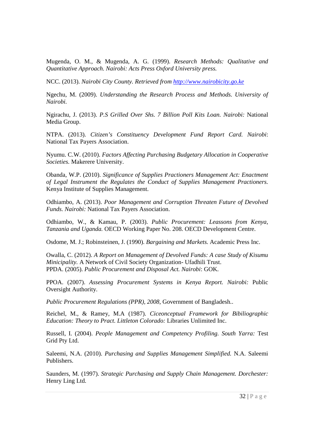Mugenda, O. M., & Mugenda, A. G. (1999). *Research Methods: Qualitative and Quantitative Approach. Nairobi: Acts Press Oxford University press.* 

NCC. (2013). *Nairobi City County. Retrieved from http://www.nairobicity.go.ke*

Ngechu, M. (2009). *Understanding the Research Process and Methods. University of Nairobi.* 

Ngirachu, J. (2013). *P.S Grilled Over Shs. 7 Billion Poll Kits Loan. Nairobi:* National Media Group.

NTPA. (2013). *Citizen's Constituency Development Fund Report Card. Nairobi*: National Tax Payers Association.

Nyumu. C.W. (2010). *Factors Affecting Purchasing Budgetary Allocation in Cooperative Societies.* Makerere University.

Obanda, W.P. (2010). *Significance of Supplies Practioners Management Act: Enactment of Legal Instrument the Regulates the Conduct of Supplies Management Practioners.* Kenya Institute of Supplies Management.

Odhiambo, A. (2013). *Poor Management and Corruption Threaten Future of Devolved Funds. Nairobi:* National Tax Payers Association.

Odhiambo, W., & Kamau, P. (2003). *Public Procurement: Leassons from Kenya, Tanzania and Uganda.* OECD Working Paper No. 208. OECD Development Centre.

Osdome, M. J.; Robinsteinen, J. (1990). *Bargaining and Markets.* Academic Press Inc.

Owalla, C. (2012). *A Report on Management of Devolved Funds: A case Study of Kisumu Minicipality.* A Network of Civil Society Organization- Ufadhili Trust. PPDA. (2005). *Public Procurement and Disposal Act. Nairobi*: GOK.

PPOA. (2007). *Assessing Procurement Systems in Kenya Report. Nairobi:* Public Oversight Authority.

*Public Procurement Regulations (PPR), 2008*, Government of Bangladesh..

Reichel, M., & Ramey, M.A (1987). *Ciceonceptual Framework for Bibiliographic Education: Theory to Pract. Littleton Colorado:* Libraries Unlimited Inc.

Russell, I. (2004). *People Management and Competency Profiling. South Yarra:* Test Grid Pty Ltd.

Saleemi, N.A. (2010). *Purchasing and Supplies Management Simplified.* N.A. Saleemi Publishers.

Saunders, M. (1997). *Strategic Purchasing and Supply Chain Management. Dorchester:* Henry Ling Ltd.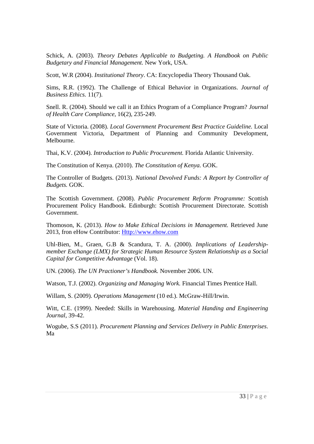Schick, A. (2003). *Theory Debates Applicable to Budgeting. A Handbook on Public Budgetary and Financial Management.* New York, USA.

Scott, W.R (2004). *Institutional Theory*. CA: Encyclopedia Theory Thousand Oak.

Sims, R.R. (1992). The Challenge of Ethical Behavior in Organizations. *Journal of Business Ethics.* 11(7).

Snell. R. (2004). Should we call it an Ethics Program of a Compliance Program? *Journal of Health Care Compliance,* 16(2), 235-249.

State of Victoria. (2008). *Local Government Procurement Best Practice Guideline.* Local Government Victoria, Department of Planning and Community Development, Melbourne.

Thai, K.V. (2004). *Introduction to Public Procurement.* Florida Atlantic University.

The Constitution of Kenya. (2010). *The Constitution of Kenya.* GOK.

The Controller of Budgets. (2013). *National Devolved Funds: A Report by Controller of Budgets.* GOK.

The Scottish Government. (2008). *Public Procurement Reform Programme:* Scottish Procurement Policy Handbook. Edinburgh: Scottish Procurement Directorate. Scottish Government.

Thomoson, K. (2013). *How to Make Ethical Decisions in Management.* Retrieved June 2013, fron eHow Contributor: Http://www.ehow.com

Uhl-Bien, M., Graen, G.B & Scandura, T. A. (2000). *Implications of Leadershipmember Exchange (LMX) for Strategic Human Resource System Relationship as a Social Capital for Competitive Advantage* (Vol. 18).

UN. (2006). *The UN Practioner's Handbook.* November 2006. UN.

Watson, T.J. (2002). *Organizing and Managing Work.* Financial Times Prentice Hall.

Willam, S. (2009). *Operations Management* (10 ed.). McGraw-Hill/Irwin.

Witt, C.E. (1999). Needed: Skills in Warehousing. *Material Handing and Engineering Journal*, 39-42.

Wogube, S.S (2011). *Procurement Planning and Services Delivery in Public Enterprises*. Ma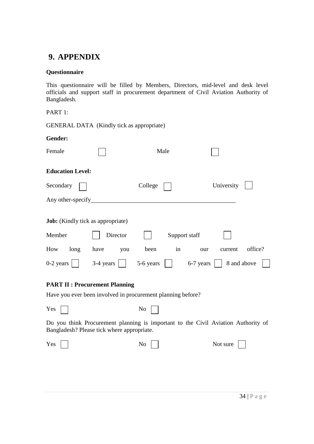## **9. APPENDIX**

#### **Questionnaire**

This questionnaire will be filled by Members, Directors, mid-level and desk level officials and support staff in procurement department of Civil Aviation Authority of Bangladesh.

PART 1:

|                                          | <b>GENERAL DATA</b> (Kindly tick as appropriate) |            |                |             |  |  |  |
|------------------------------------------|--------------------------------------------------|------------|----------------|-------------|--|--|--|
| Gender:                                  |                                                  |            |                |             |  |  |  |
| Female                                   |                                                  | Male       |                |             |  |  |  |
| <b>Education Level:</b>                  |                                                  |            |                |             |  |  |  |
| Secondary                                |                                                  | College    | University     |             |  |  |  |
| Any other-specify                        |                                                  |            |                |             |  |  |  |
| <b>Job:</b> (Kindly tick as appropriate) |                                                  |            |                |             |  |  |  |
| Member                                   | Director                                         |            | Support staff  |             |  |  |  |
| How<br>long                              | have<br>you                                      | in<br>been | current<br>our | office?     |  |  |  |
| $0-2$ years                              | 3-4 years                                        | 5-6 years  | 6-7 years      | 8 and above |  |  |  |

#### **PART II : Procurement Planning**

Have you ever been involved in procurement planning before?

|--|--|

Do you think Procurement planning is important to the Civil Aviation Authority of Bangladesh? Please tick where appropriate.

| Yes | N <sub>o</sub> | Not sure |
|-----|----------------|----------|
|-----|----------------|----------|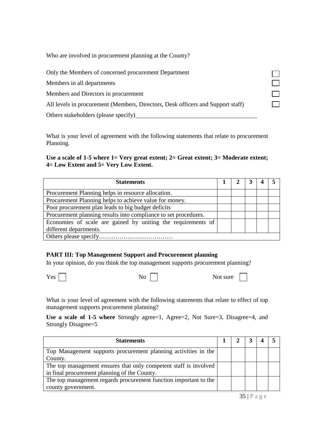Who are involved in procurement planning at the County?

| Only the Members of concerned procurement Department                            |  |
|---------------------------------------------------------------------------------|--|
| Members in all departments                                                      |  |
| Members and Directors in procurement                                            |  |
| All levels in procurement (Members, Directors, Desk officers and Support staff) |  |
| Others stakeholders (please specify)                                            |  |

What is your level of agreement with the following statements that relate to procurement Planning.

#### **Use a scale of 1-5 where 1= Very great extent; 2= Great extent; 3= Moderate extent; 4= Low Extent and 5= Very Low Extent.**

| <b>Statements</b>                                               |  |  |  |  |
|-----------------------------------------------------------------|--|--|--|--|
| Procurement Planning helps in resource allocation.              |  |  |  |  |
| Procurement Planning helps to achieve value for money.          |  |  |  |  |
| Poor procurement plan leads to big budget deficits              |  |  |  |  |
| Procurement planning results into compliance to set procedures. |  |  |  |  |
| Economies of scale are gained by uniting the requirements of    |  |  |  |  |
| different departments.                                          |  |  |  |  |
|                                                                 |  |  |  |  |

#### **PART III: Top Management Support and Procurement planning**

In your opinion, do you think the top management supports procurement planning?

| Yes $\Box$<br>N <sub>o</sub><br>Not sure |
|------------------------------------------|
|------------------------------------------|

What is your level of agreement with the following statements that relate to effect of top management supports procurement planning?

**Use a scale of 1-5 where** Strongly agree=1, Agree=2, Not Sure=3, Disagree=4, and Strongly Disagree=5

| <b>Statements</b>                                                |  |  |  |
|------------------------------------------------------------------|--|--|--|
| Top Management supports procurement planning activities in the   |  |  |  |
| County.                                                          |  |  |  |
| The top management ensures that only competent staff is involved |  |  |  |
| in final procurement planning of the County.                     |  |  |  |
| The top management regards procurement function important to the |  |  |  |
| county government.                                               |  |  |  |

35 | P a g e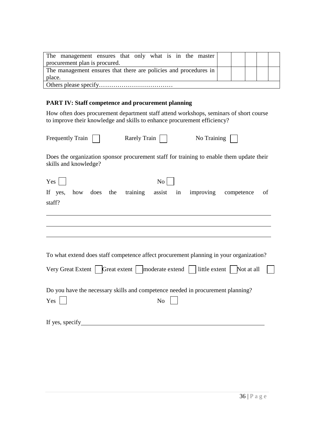| The management ensures that only what is in the master           |  |  |  |  |
|------------------------------------------------------------------|--|--|--|--|
| procurement plan is procured.                                    |  |  |  |  |
| The management ensures that there are policies and procedures in |  |  |  |  |
| place.                                                           |  |  |  |  |
|                                                                  |  |  |  |  |

#### **PART IV: Staff competence and procurement planning**

How often does procurement department staff attend workshops, seminars of short course to improve their knowledge and skills to enhance procurement efficiency?

| <b>Frequently Train</b>                                                                | Rarely Train             | No Training                                                                              |
|----------------------------------------------------------------------------------------|--------------------------|------------------------------------------------------------------------------------------|
| skills and knowledge?                                                                  |                          | Does the organization sponsor procurement staff for training to enable them update their |
| $Yes \mid$                                                                             | No                       |                                                                                          |
| how<br>does the<br>If yes,<br>staff?                                                   | training<br>assist<br>in | improving<br>competence<br>of                                                            |
|                                                                                        |                          |                                                                                          |
|                                                                                        |                          |                                                                                          |
|                                                                                        |                          | To what extend does staff competence affect procurement planning in your organization?   |
|                                                                                        |                          |                                                                                          |
| Do you have the necessary skills and competence needed in procurement planning?<br>Yes | N <sub>o</sub>           |                                                                                          |
|                                                                                        |                          |                                                                                          |
| If yes, specify                                                                        |                          |                                                                                          |
|                                                                                        |                          |                                                                                          |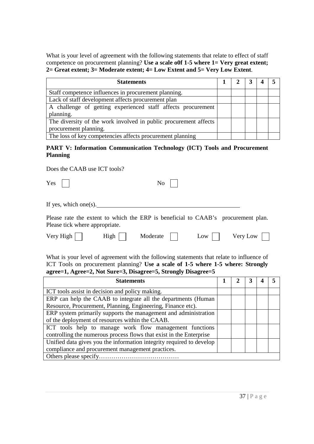What is your level of agreement with the following statements that relate to effect of staff competence on procurement planning? Use a scale of 1-5 where 1= Very great extent; **2= Great extent; 3= Moderate extent; 4= Low Extent and 5= Very Low Extent**.

| <b>Statements</b>                                                |  |  |  |
|------------------------------------------------------------------|--|--|--|
| Staff competence influences in procurement planning.             |  |  |  |
| Lack of staff development affects procurement plan               |  |  |  |
| A challenge of getting experienced staff affects procurement     |  |  |  |
| planning.                                                        |  |  |  |
| The diversity of the work involved in public procurement affects |  |  |  |
| procurement planning.                                            |  |  |  |
| The loss of key competencies affects procurement planning        |  |  |  |

#### **PART V: Information Communication Technology (ICT) Tools and Procurement Planning**

Does the CAAB use ICT tools?

| $Yes \Box$ |  |  | No |
|------------|--|--|----|
|            |  |  |    |

If yes, which one(s).  $\qquad \qquad$ 

Please rate the extent to which the ERP is beneficial to CAAB's procurement plan. Please tick where appropriate.

| Very High | H <sub>1</sub> gh | Moderate | 10W | Very Low |  |
|-----------|-------------------|----------|-----|----------|--|
|-----------|-------------------|----------|-----|----------|--|

What is your level of agreement with the following statements that relate to influence of ICT Tools on procurement planning? Use a scale of 1-5 where 1-5 where: Strongly **agree=1, Agree=2, Not Sure=3, Disagree=5, Strongly Disagree=5** 

| <b>Statements</b>                                                    |  |  |  |  |  |
|----------------------------------------------------------------------|--|--|--|--|--|
| ICT tools assist in decision and policy making.                      |  |  |  |  |  |
| ERP can help the CAAB to integrate all the departments (Human        |  |  |  |  |  |
| Resource, Procurement, Planning, Engineering, Finance etc).          |  |  |  |  |  |
| ERP system primarily supports the management and administration      |  |  |  |  |  |
| of the deployment of resources within the CAAB.                      |  |  |  |  |  |
| ICT tools help to manage work flow management functions              |  |  |  |  |  |
| controlling the numerous process flows that exist in the Enterprise  |  |  |  |  |  |
| Unified data gives you the information integrity required to develop |  |  |  |  |  |
| compliance and procurement management practices.                     |  |  |  |  |  |
|                                                                      |  |  |  |  |  |